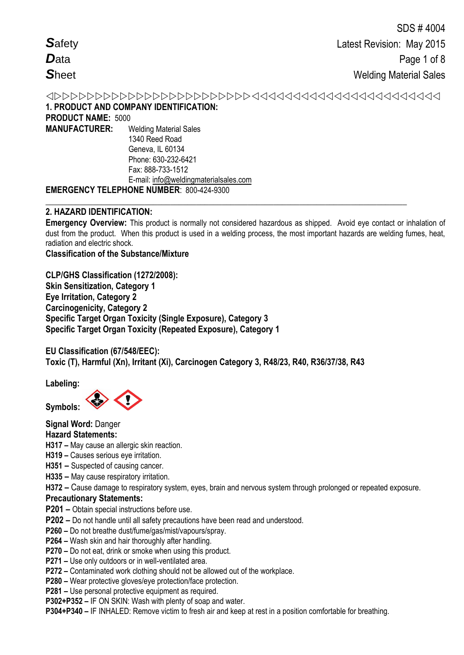**1. PRODUCT AND COMPANY IDENTIFICATION: PRODUCT NAME:** 5000 **MANUFACTURER:** Welding Material Sales 1340 Reed Road Geneva, IL 60134

Phone: 630-232-6421 Fax: 888-733-1512 E-mail: info@weldingmaterialsales.com

# **EMERGENCY TELEPHONE NUMBER**: 800-424-9300

# **2. HAZARD IDENTIFICATION:**

**Emergency Overview:** This product is normally not considered hazardous as shipped. Avoid eye contact or inhalation of dust from the product. When this product is used in a welding process, the most important hazards are welding fumes, heat, radiation and electric shock.

**\_\_\_\_\_\_\_\_\_\_\_\_\_\_\_\_\_\_\_\_\_\_\_\_\_\_\_\_\_\_\_\_\_\_\_\_\_\_\_\_\_\_\_\_\_\_\_\_\_\_\_\_\_\_\_\_\_\_\_\_\_\_\_\_\_\_\_\_\_\_\_\_\_\_\_\_\_\_\_\_\_\_\_\_**

**Classification of the Substance/Mixture**

**CLP/GHS Classification (1272/2008): Skin Sensitization, Category 1 Eye Irritation, Category 2 Carcinogenicity, Category 2 Specific Target Organ Toxicity (Single Exposure), Category 3 Specific Target Organ Toxicity (Repeated Exposure), Category 1** 

**EU Classification (67/548/EEC): Toxic (T), Harmful (Xn), Irritant (Xi), Carcinogen Category 3, R48/23, R40, R36/37/38, R43** 

**Labeling:** 

**Symbols:** 

**Signal Word:** Danger

# **Hazard Statements:**

- **H317 –** May cause an allergic skin reaction.
- **H319 –** Causes serious eye irritation.
- **H351 –** Suspected of causing cancer.
- **H335 –** May cause respiratory irritation.

**H372 –** Cause damage to respiratory system, eyes, brain and nervous system through prolonged or repeated exposure.

# **Precautionary Statements:**

- **P201 –** Obtain special instructions before use.
- **P202 –** Do not handle until all safety precautions have been read and understood.
- **P260 –** Do not breathe dust/fume/gas/mist/vapours/spray.
- **P264 –** Wash skin and hair thoroughly after handling.
- **P270 –** Do not eat, drink or smoke when using this product.
- **P271 –** Use only outdoors or in well-ventilated area.
- **P272 –** Contaminated work clothing should not be allowed out of the workplace.
- **P280 –** Wear protective gloves/eye protection/face protection.
- **P281 –** Use personal protective equipment as required.
- **P302+P352 –** IF ON SKIN: Wash with plenty of soap and water.

**P304+P340 –** IF INHALED: Remove victim to fresh air and keep at rest in a position comfortable for breathing.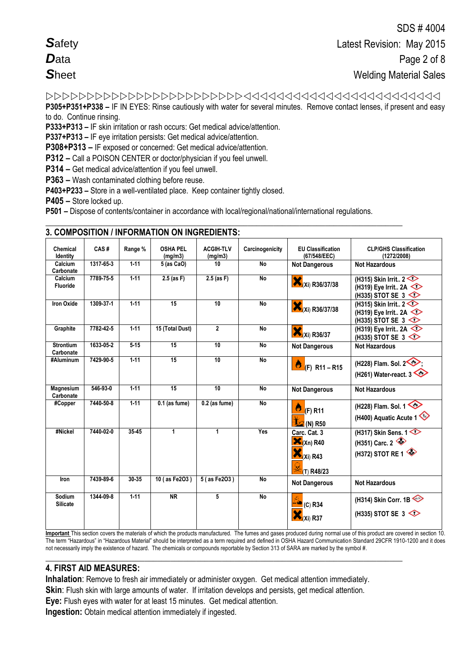**P305+P351+P338 –** IF IN EYES: Rinse cautiously with water for several minutes. Remove contact lenses, if present and easy

to do. Continue rinsing.

**P333+P313 –** IF skin irritation or rash occurs: Get medical advice/attention.

**P337+P313 –** IF eye irritation persists: Get medical advice/attention.

**P308+P313 –** IF exposed or concerned: Get medical advice/attention.

**P312 –** Call a POISON CENTER or doctor/physician if you feel unwell.

**P314 –** Get medical advice/attention if you feel unwell.

**P363 –** Wash contaminated clothing before reuse.

**P403+P233 –** Store in a well-ventilated place. Keep container tightly closed.

**P405 –** Store locked up.

**P501 –** Dispose of contents/container in accordance with local/regional/national/international regulations.

**\_\_\_\_\_\_\_\_\_\_\_\_\_\_\_\_\_\_\_\_\_\_\_\_\_\_\_\_\_\_\_\_\_\_\_\_\_\_\_\_\_\_\_\_\_\_\_\_\_\_\_\_\_\_\_\_\_\_\_\_\_\_\_\_\_\_\_\_\_\_\_\_\_\_\_\_\_\_\_\_\_\_\_**

| Chemical<br>Identity          | CAS#      | Range %  | <b>OSHA PEL</b><br>(mq/m3) | <b>ACGIH-TLV</b><br>(mg/m3) | Carcinogenicity | <b>EU Classification</b><br>(67/548/EEC)                             | <b>CLP/GHS Classification</b><br>(1272/2008)                                         |
|-------------------------------|-----------|----------|----------------------------|-----------------------------|-----------------|----------------------------------------------------------------------|--------------------------------------------------------------------------------------|
| Calcium<br>Carbonate          | 1317-65-3 | $1-11$   | 5 (as CaO)                 | 10                          | <b>No</b>       | <b>Not Dangerous</b>                                                 | <b>Not Hazardous</b>                                                                 |
| Calcium<br><b>Fluoride</b>    | 7789-75-5 | $1-11$   | $2.5$ (as F)               | $2.5$ (as F)                | <b>No</b>       | $\mathbf{X}_{(Xi)}$ R36/37/38                                        | (H315) Skin Irrit $2 \leq$<br>(H319) Eye Irrit 2A<br>(H335) STOT SE 3                |
| <b>Iron Oxide</b>             | 1309-37-1 | $1-11$   | $\overline{15}$            | 10                          | <b>No</b>       | (Xi) R36/37/38                                                       | (H315) Skin Irrit $2 \leq$<br>(H319) Eye Irrit 2A<br>(H335) STOT SE 3                |
| Graphite                      | 7782-42-5 | $1 - 11$ | 15 (Total Dust)            | $\overline{2}$              | <b>No</b>       | $Xi(Xi)$ R36/37                                                      | (H319) Eye Irrit 2A $\diamond$<br>(H335) STOT SE $3 \leq 5$                          |
| <b>Strontium</b><br>Carbonate | 1633-05-2 | $5 - 15$ | 15                         | 10                          | <b>No</b>       | <b>Not Dangerous</b>                                                 | <b>Not Hazardous</b>                                                                 |
| #Aluminum                     | 7429-90-5 | $1 - 11$ | 15                         | 10                          | <b>No</b>       | Ò<br>$(F)$ R11 – R15                                                 | (H228) Flam. Sol. 2<br>(H261) Water-react. $3 \leq 2$                                |
| <b>Magnesium</b><br>Carbonate | 546-93-0  | $1-11$   | $\overline{15}$            | 10                          | <b>No</b>       | <b>Not Dangerous</b>                                                 | <b>Not Hazardous</b>                                                                 |
| #Copper                       | 7440-50-8 | $1 - 11$ | $0.1$ (as fume)            | $0.2$ (as fume)             | <b>No</b>       | Ö<br>$(F)$ R11<br>$\frac{1}{2}$ (N) R50                              | (H228) Flam. Sol. 1<br>(H400) Aquatic Acute 1                                        |
| #Nickel                       | 7440-02-0 | $35-45$  | 1                          | 1                           | Yes             | Carc. Cat. 3<br>$\mathbf{X}_{(Xn)R40}$<br>$Xi(Xi)$ R43<br>(T) R48/23 | (H317) Skin Sens. $1 \diamondsuit$<br>(H351) Carc. $2 \leqslant$<br>(H372) STOT RE 1 |
| Iron                          | 7439-89-6 | 30 35    | 10 (as Fe2O3)              | 5 (as Fe2O3)                | <b>No</b>       | <b>Not Dangerous</b>                                                 | <b>Not Hazardous</b>                                                                 |
| Sodium<br><b>Silicate</b>     | 1344-09-8 | $1 - 11$ | <b>NR</b>                  | 5                           | <b>No</b>       | $\frac{1}{2}$ (C) R34<br>Xi) R37                                     | (H314) Skin Corr. 1B<br>(H335) STOT SE 3                                             |

# **3. COMPOSITION / INFORMATION ON INGREDIENTS:**

**Important** This section covers the materials of which the products manufactured. The fumes and gases produced during normal use of this product are covered in section 10. The term "Hazardous" in "Hazardous Material" should be interpreted as a term required and defined in OSHA Hazard Communication Standard 29CFR 1910-1200 and it does not necessarily imply the existence of hazard. The chemicals or compounds reportable by Section 313 of SARA are marked by the symbol #.

# **4. FIRST AID MEASURES:**

**Inhalation**: Remove to fresh air immediately or administer oxygen. Get medical attention immediately.

**\_\_\_\_\_\_\_\_\_\_\_\_\_\_\_\_\_\_\_\_\_\_\_\_\_\_\_\_\_\_\_\_\_\_\_\_\_\_\_\_\_\_\_\_\_\_\_\_\_\_\_\_\_\_\_\_\_\_\_\_\_\_\_\_\_\_\_\_\_\_\_\_\_\_\_\_\_\_\_\_\_\_\_**

**Skin**: Flush skin with large amounts of water. If irritation develops and persists, get medical attention.

**Eye:** Flush eyes with water for at least 15 minutes. Get medical attention.

**Ingestion:** Obtain medical attention immediately if ingested.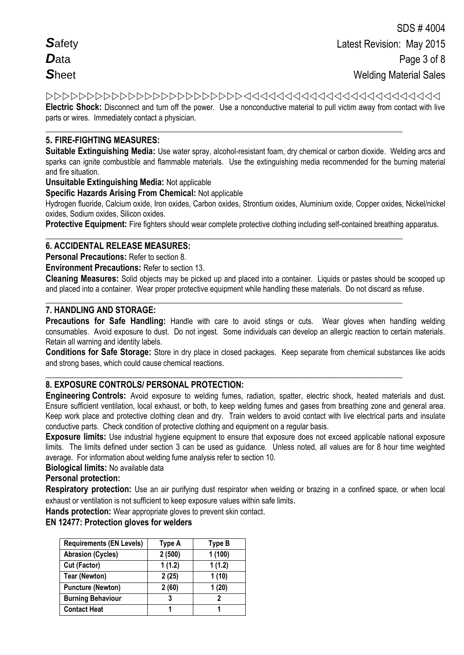**Electric Shock:** Disconnect and turn off the power. Use a nonconductive material to pull victim away from contact with live parts or wires. Immediately contact a physician.

**\_\_\_\_\_\_\_\_\_\_\_\_\_\_\_\_\_\_\_\_\_\_\_\_\_\_\_\_\_\_\_\_\_\_\_\_\_\_\_\_\_\_\_\_\_\_\_\_\_\_\_\_\_\_\_\_\_\_\_\_\_\_\_\_\_\_\_\_\_\_\_\_\_\_\_\_\_\_\_\_\_\_\_**

# **5. FIRE-FIGHTING MEASURES:**

**Suitable Extinguishing Media:** Use water spray, alcohol-resistant foam, dry chemical or carbon dioxide. Welding arcs and sparks can ignite combustible and flammable materials. Use the extinguishing media recommended for the burning material and fire situation.

# **Unsuitable Extinguishing Media:** Not applicable

**Specific Hazards Arising From Chemical:** Not applicable

Hydrogen fluoride, Calcium oxide, Iron oxides, Carbon oxides, Strontium oxides, Aluminium oxide, Copper oxides, Nickel/nickel oxides, Sodium oxides, Silicon oxides.

**Protective Equipment:** Fire fighters should wear complete protective clothing including self-contained breathing apparatus.

### **\_\_\_\_\_\_\_\_\_\_\_\_\_\_\_\_\_\_\_\_\_\_\_\_\_\_\_\_\_\_\_\_\_\_\_\_\_\_\_\_\_\_\_\_\_\_\_\_\_\_\_\_\_\_\_\_\_\_\_\_\_\_\_\_\_\_\_\_\_\_\_\_\_\_\_\_\_\_\_\_\_\_\_ 6. ACCIDENTAL RELEASE MEASURES:**

**Personal Precautions:** Refer to section 8.

**Environment Precautions:** Refer to section 13.

**Cleaning Measures:** Solid objects may be picked up and placed into a container. Liquids or pastes should be scooped up and placed into a container. Wear proper protective equipment while handling these materials. Do not discard as refuse.

**\_\_\_\_\_\_\_\_\_\_\_\_\_\_\_\_\_\_\_\_\_\_\_\_\_\_\_\_\_\_\_\_\_\_\_\_\_\_\_\_\_\_\_\_\_\_\_\_\_\_\_\_\_\_\_\_\_\_\_\_\_\_\_\_\_\_\_\_\_\_\_\_\_\_\_\_\_\_\_\_\_\_\_**

**\_\_\_\_\_\_\_\_\_\_\_\_\_\_\_\_\_\_\_\_\_\_\_\_\_\_\_\_\_\_\_\_\_\_\_\_\_\_\_\_\_\_\_\_\_\_\_\_\_\_\_\_\_\_\_\_\_\_\_\_\_\_\_\_\_\_\_\_\_\_\_\_\_\_\_\_\_\_\_\_\_\_\_**

# **7. HANDLING AND STORAGE:**

Precautions for Safe Handling: Handle with care to avoid stings or cuts. Wear gloves when handling welding consumables. Avoid exposure to dust. Do not ingest. Some individuals can develop an allergic reaction to certain materials. Retain all warning and identity labels.

**Conditions for Safe Storage:** Store in dry place in closed packages. Keep separate from chemical substances like acids and strong bases, which could cause chemical reactions.

# **8. EXPOSURE CONTROLS/ PERSONAL PROTECTION:**

**Engineering Controls:** Avoid exposure to welding fumes, radiation, spatter, electric shock, heated materials and dust. Ensure sufficient ventilation, local exhaust, or both, to keep welding fumes and gases from breathing zone and general area. Keep work place and protective clothing clean and dry. Train welders to avoid contact with live electrical parts and insulate conductive parts. Check condition of protective clothing and equipment on a regular basis.

**Exposure limits:** Use industrial hygiene equipment to ensure that exposure does not exceed applicable national exposure limits. The limits defined under section 3 can be used as guidance. Unless noted, all values are for 8 hour time weighted average. For information about welding fume analysis refer to section 10.

**Biological limits:** No available data

# **Personal protection:**

**Respiratory protection:** Use an air purifying dust respirator when welding or brazing in a confined space, or when local exhaust or ventilation is not sufficient to keep exposure values within safe limits.

**Hands protection:** Wear appropriate gloves to prevent skin contact.

# **EN 12477: Protection gloves for welders**

| <b>Requirements (EN Levels)</b> | Type A | Type B |
|---------------------------------|--------|--------|
| <b>Abrasion (Cycles)</b>        | 2(500) | 1(100) |
| Cut (Factor)                    | 1(1.2) | 1(1.2) |
| <b>Tear (Newton)</b>            | 2(25)  | 1(10)  |
| <b>Puncture (Newton)</b>        | 2(60)  | 1(20)  |
| <b>Burning Behaviour</b>        | 3      |        |
| <b>Contact Heat</b>             |        |        |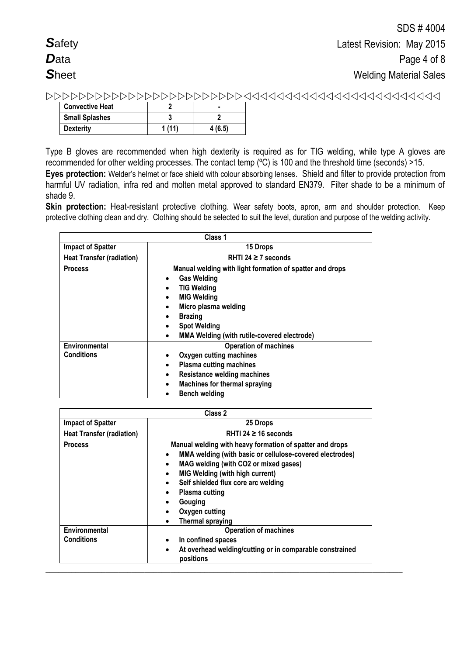| <b>Convective Heat</b> |       |        |
|------------------------|-------|--------|
| <b>Small Splashes</b>  |       |        |
| <b>Dexterity</b>       | 1(11) | 4(6.5) |

Type B gloves are recommended when high dexterity is required as for TIG welding, while type A gloves are recommended for other welding processes. The contact temp (ºC) is 100 and the threshold time (seconds) >15. **Eyes protection:** Welder's helmet or face shield with colour absorbing lenses. Shield and filter to provide protection from harmful UV radiation, infra red and molten metal approved to standard EN379. Filter shade to be a minimum of shade 9.

**Skin protection:** Heat-resistant protective clothing. Wear safety boots, apron, arm and shoulder protection. Keep protective clothing clean and dry. Clothing should be selected to suit the level, duration and purpose of the welding activity.

|                                    | Class 1                                                                                                                                                                                                                                                                                       |  |  |
|------------------------------------|-----------------------------------------------------------------------------------------------------------------------------------------------------------------------------------------------------------------------------------------------------------------------------------------------|--|--|
| <b>Impact of Spatter</b>           | 15 Drops                                                                                                                                                                                                                                                                                      |  |  |
| <b>Heat Transfer (radiation)</b>   | RHTI 24 $\geq$ 7 seconds                                                                                                                                                                                                                                                                      |  |  |
| <b>Process</b>                     | Manual welding with light formation of spatter and drops<br><b>Gas Welding</b><br>٠<br><b>TIG Welding</b><br><b>MIG Welding</b><br>Micro plasma welding<br>$\bullet$<br><b>Brazing</b><br>$\bullet$<br><b>Spot Welding</b><br><b>MMA Welding (with rutile-covered electrode)</b><br>$\bullet$ |  |  |
| Environmental<br><b>Conditions</b> | <b>Operation of machines</b><br>Oxygen cutting machines<br>٠<br><b>Plasma cutting machines</b><br>$\bullet$<br><b>Resistance welding machines</b><br>٠<br><b>Machines for thermal spraying</b><br>$\bullet$<br><b>Bench welding</b>                                                           |  |  |

| <b>Impact of Spatter</b><br>25 Drops |                                                                                                                                                                                                                                                                                                                                                                                                                  |  |  |
|--------------------------------------|------------------------------------------------------------------------------------------------------------------------------------------------------------------------------------------------------------------------------------------------------------------------------------------------------------------------------------------------------------------------------------------------------------------|--|--|
| <b>Heat Transfer (radiation)</b>     | RHTI 24 $\geq$ 16 seconds                                                                                                                                                                                                                                                                                                                                                                                        |  |  |
| <b>Process</b>                       | Manual welding with heavy formation of spatter and drops<br>MMA welding (with basic or cellulose-covered electrodes)<br>$\bullet$<br>MAG welding (with CO2 or mixed gases)<br>٠<br><b>MIG Welding (with high current)</b><br>$\bullet$<br>Self shielded flux core arc welding<br>$\bullet$<br>Plasma cutting<br>٠<br>Gouging<br>$\bullet$<br>Oxygen cutting<br>$\bullet$<br><b>Thermal spraying</b><br>$\bullet$ |  |  |
| Environmental<br><b>Conditions</b>   | <b>Operation of machines</b><br>In confined spaces<br>$\bullet$                                                                                                                                                                                                                                                                                                                                                  |  |  |
|                                      | At overhead welding/cutting or in comparable constrained<br>$\bullet$<br>positions                                                                                                                                                                                                                                                                                                                               |  |  |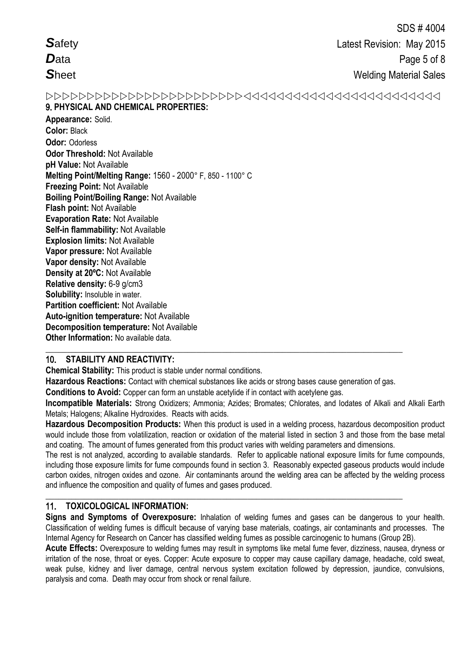**Safety**  $\mathbf{D}_{\text{ata}}$ Sheet

# 9. PHYSICAL AND CHEMICAL PROPERTIES:

Appearance: Solid. **Color: Black** Odor: Odorless **Odor Threshold: Not Available** pH Value: Not Available Melting Point/Melting Range: 1560 - 2000° F, 850 - 1100° C **Freezing Point: Not Available Boiling Point/Boiling Range: Not Available** Flash point: Not Available **Evaporation Rate: Not Available** Self-in flammability: Not Available **Explosion limits: Not Available** Vapor pressure: Not Available Vapor density: Not Available Density at 20°C: Not Available Relative density: 6-9 g/cm3 Solubility: Insoluble in water. Partition coefficient: Not Available **Auto-ignition temperature: Not Available Decomposition temperature: Not Available** Other Information: No available data.

# 10. STABILITY AND REACTIVITY:

**Chemical Stability:** This product is stable under normal conditions.

Hazardous Reactions: Contact with chemical substances like acids or strong bases cause generation of gas.

Conditions to Avoid: Copper can form an unstable acetylide if in contact with acetylene gas.

Incompatible Materials: Strong Oxidizers; Ammonia; Azides; Bromates; Chlorates, and Iodates of Alkali and Alkali Earth Metals; Halogens; Alkaline Hydroxides. Reacts with acids.

Hazardous Decomposition Products: When this product is used in a welding process, hazardous decomposition product would include those from volatilization, reaction or oxidation of the material listed in section 3 and those from the base metal and coating. The amount of fumes generated from this product varies with welding parameters and dimensions.

The rest is not analyzed, according to available standards. Refer to applicable national exposure limits for fume compounds, including those exposure limits for fume compounds found in section 3. Reasonably expected gaseous products would include carbon oxides, nitrogen oxides and ozone. Air contaminants around the welding area can be affected by the welding process and influence the composition and quality of fumes and gases produced.

#### $11.$ **TOXICOLOGICAL INFORMATION:**

Signs and Symptoms of Overexposure: Inhalation of welding fumes and gases can be dangerous to your health. Classification of welding fumes is difficult because of varying base materials, coatings, air contaminants and processes. The Internal Agency for Research on Cancer has classified welding fumes as possible carcinogenic to humans (Group 2B).

Acute Effects: Overexposure to welding fumes may result in symptoms like metal fume fever, dizziness, nausea, dryness or irritation of the nose, throat or eves. Copper: Acute exposure to copper may cause capillary damage, headache, cold sweat. weak pulse, kidney and liver damage, central nervous system excitation followed by depression, jaundice, convulsions, paralysis and coma. Death may occur from shock or renal failure.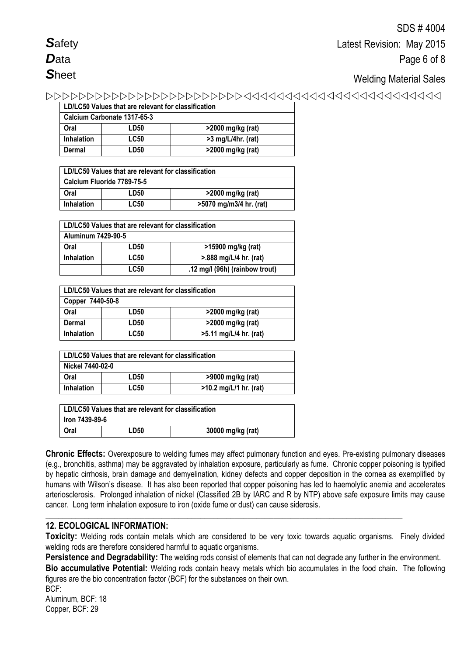# Welding Material Sales

| LD/LC50 Values that are relevant for classification |             |                      |  |  |
|-----------------------------------------------------|-------------|----------------------|--|--|
| Calcium Carbonate 1317-65-3                         |             |                      |  |  |
| Oral                                                | LD50        | >2000 mg/kg (rat)    |  |  |
| <b>Inhalation</b>                                   | <b>LC50</b> | $>3$ mg/L/4hr. (rat) |  |  |
| Dermal                                              | LD50        | >2000 mg/kg (rat)    |  |  |

| LD/LC50 Values that are relevant for classification         |      |                   |  |  |
|-------------------------------------------------------------|------|-------------------|--|--|
| Calcium Fluoride 7789-75-5                                  |      |                   |  |  |
| Oral                                                        | LD50 | >2000 mg/kg (rat) |  |  |
| <b>LC50</b><br>>5070 mg/m3/4 hr. (rat)<br><b>Inhalation</b> |      |                   |  |  |

| LD/LC50 Values that are relevant for classification |             |                        |  |  |
|-----------------------------------------------------|-------------|------------------------|--|--|
| Aluminum 7429-90-5                                  |             |                        |  |  |
| Oral                                                | LD50        | >15900 mg/kg (rat)     |  |  |
| <b>Inhalation</b>                                   | <b>LC50</b> | >.888 mg/L/4 hr. (rat) |  |  |
| <b>LC50</b><br>.12 mg/l (96h) (rainbow trout)       |             |                        |  |  |

| LD/LC50 Values that are relevant for classification |             |                        |  |  |
|-----------------------------------------------------|-------------|------------------------|--|--|
| Copper 7440-50-8                                    |             |                        |  |  |
| Oral                                                | LD50        | >2000 mg/kg (rat)      |  |  |
| Dermal                                              | LD50        | >2000 mg/kg (rat)      |  |  |
| <b>Inhalation</b>                                   | <b>LC50</b> | >5.11 mg/L/4 hr. (rat) |  |  |

| LD/LC50 Values that are relevant for classification          |      |                   |  |  |
|--------------------------------------------------------------|------|-------------------|--|--|
| Nickel 7440-02-0                                             |      |                   |  |  |
| Oral                                                         | LD50 | >9000 mg/kg (rat) |  |  |
| <b>LC50</b><br>$>10.2$ mg/L/1 hr. (rat)<br><b>Inhalation</b> |      |                   |  |  |

| LD/LC50 Values that are relevant for classification |      |                   |  |  |
|-----------------------------------------------------|------|-------------------|--|--|
| lron 7439-89-6                                      |      |                   |  |  |
| Oral                                                | LD50 | 30000 mg/kg (rat) |  |  |

**Chronic Effects:** Overexposure to welding fumes may affect pulmonary function and eyes. Pre-existing pulmonary diseases (e.g., bronchitis, asthma) may be aggravated by inhalation exposure, particularly as fume. Chronic copper poisoning is typified by hepatic cirrhosis, brain damage and demyelination, kidney defects and copper deposition in the cornea as exemplified by humans with Wilson's disease. It has also been reported that copper poisoning has led to haemolytic anemia and accelerates arteriosclerosis. Prolonged inhalation of nickel (Classified 2B by IARC and R by NTP) above safe exposure limits may cause cancer. Long term inhalation exposure to iron (oxide fume or dust) can cause siderosis.

# **12. ECOLOGICAL INFORMATION:**

**Toxicity:** Welding rods contain metals which are considered to be very toxic towards aquatic organisms. Finely divided welding rods are therefore considered harmful to aquatic organisms.

**\_\_\_\_\_\_\_\_\_\_\_\_\_\_\_\_\_\_\_\_\_\_\_\_\_\_\_\_\_\_\_\_\_\_\_\_\_\_\_\_\_\_\_\_\_\_\_\_\_\_\_\_\_\_\_\_\_\_\_\_\_\_\_\_\_\_\_\_\_\_\_\_\_\_\_\_\_\_\_\_\_\_\_**

**Persistence and Degradability:** The welding rods consist of elements that can not degrade any further in the environment. **Bio accumulative Potential:** Welding rods contain heavy metals which bio accumulates in the food chain. The following figures are the bio concentration factor (BCF) for the substances on their own.

BCF: Aluminum, BCF: 18 Copper, BCF: 29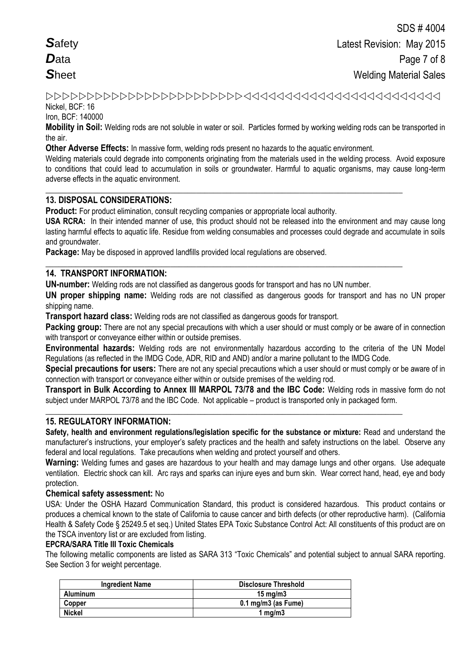# Nickel, BCF: 16

Iron, BCF: 140000

**Mobility in Soil:** Welding rods are not soluble in water or soil. Particles formed by working welding rods can be transported in the air.

**Other Adverse Effects:** In massive form, welding rods present no hazards to the aquatic environment.

**\_\_\_\_\_\_\_\_\_\_\_\_\_\_\_\_\_\_\_\_\_\_\_\_\_\_\_\_\_\_\_\_\_\_\_\_\_\_\_\_\_\_\_\_\_\_\_\_\_\_\_\_\_\_\_\_\_\_\_\_\_\_\_\_\_\_\_\_\_\_\_\_\_\_\_\_\_\_\_\_\_\_\_**

**\_\_\_\_\_\_\_\_\_\_\_\_\_\_\_\_\_\_\_\_\_\_\_\_\_\_\_\_\_\_\_\_\_\_\_\_\_\_\_\_\_\_\_\_\_\_\_\_\_\_\_\_\_\_\_\_\_\_\_\_\_\_\_\_\_\_\_\_\_\_\_\_\_\_\_\_\_\_\_\_\_\_\_**

Welding materials could degrade into components originating from the materials used in the welding process. Avoid exposure to conditions that could lead to accumulation in soils or groundwater. Harmful to aquatic organisms, may cause long-term adverse effects in the aquatic environment.

# **13. DISPOSAL CONSIDERATIONS:**

**Product:** For product elimination, consult recycling companies or appropriate local authority.

**USA RCRA:** In their intended manner of use, this product should not be released into the environment and may cause long lasting harmful effects to aquatic life. Residue from welding consumables and processes could degrade and accumulate in soils and groundwater.

**Package:** May be disposed in approved landfills provided local regulations are observed.

# **14. TRANSPORT INFORMATION:**

**UN-number:** Welding rods are not classified as dangerous goods for transport and has no UN number.

**UN proper shipping name:** Welding rods are not classified as dangerous goods for transport and has no UN proper shipping name.

**Transport hazard class:** Welding rods are not classified as dangerous goods for transport.

**Packing group:** There are not any special precautions with which a user should or must comply or be aware of in connection with transport or conveyance either within or outside premises.

**Environmental hazards:** Welding rods are not environmentally hazardous according to the criteria of the UN Model Regulations (as reflected in the IMDG Code, ADR, RID and AND) and/or a marine pollutant to the IMDG Code.

**Special precautions for users:** There are not any special precautions which a user should or must comply or be aware of in connection with transport or conveyance either within or outside premises of the welding rod.

**Transport in Bulk According to Annex III MARPOL 73/78 and the IBC Code:** Welding rods in massive form do not subject under MARPOL 73/78 and the IBC Code. Not applicable – product is transported only in packaged form.

**\_\_\_\_\_\_\_\_\_\_\_\_\_\_\_\_\_\_\_\_\_\_\_\_\_\_\_\_\_\_\_\_\_\_\_\_\_\_\_\_\_\_\_\_\_\_\_\_\_\_\_\_\_\_\_\_\_\_\_\_\_\_\_\_\_\_\_\_\_\_\_\_\_\_\_\_\_\_\_\_\_\_\_**

# **15. REGULATORY INFORMATION:**

**Safety, health and environment regulations/legislation specific for the substance or mixture:** Read and understand the manufacturer's instructions, your employer's safety practices and the health and safety instructions on the label. Observe any federal and local regulations. Take precautions when welding and protect yourself and others.

**Warning:** Welding fumes and gases are hazardous to your health and may damage lungs and other organs. Use adequate ventilation.Electric shock can kill. Arc rays and sparks can injure eyes and burn skin. Wear correct hand, head, eye and body protection.

### **Chemical safety assessment:** No

USA: Under the OSHA Hazard Communication Standard, this product is considered hazardous. This product contains or produces a chemical known to the state of California to cause cancer and birth defects (or other reproductive harm). (California Health & Safety Code § 25249.5 et seq.) United States EPA Toxic Substance Control Act: All constituents of this product are on the TSCA inventory list or are excluded from listing.

### **EPCRA/SARA Title III Toxic Chemicals**

The following metallic components are listed as SARA 313 "Toxic Chemicals" and potential subject to annual SARA reporting. See Section 3 for weight percentage.

| <b>Ingredient Name</b> | Disclosure Threshold           |
|------------------------|--------------------------------|
| <b>Aluminum</b>        | 15 mg/m $3$                    |
| Copper                 | $0.1 \text{ mg/m}$ 3 (as Fume) |
| <b>Nickel</b>          | 1 mg/m $3$                     |